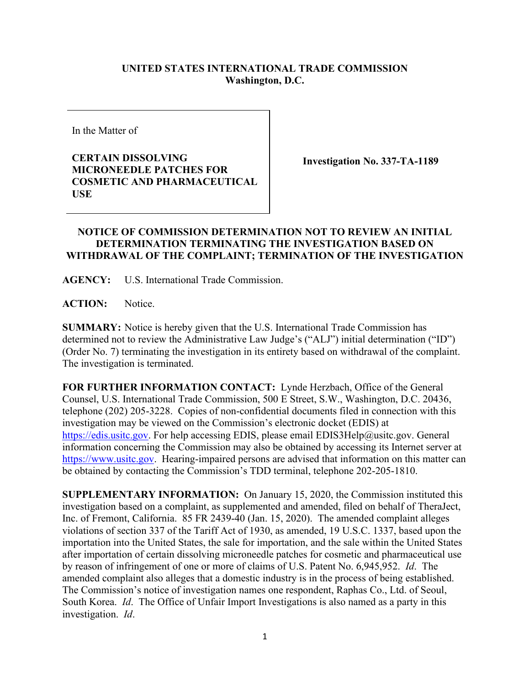## **UNITED STATES INTERNATIONAL TRADE COMMISSION Washington, D.C.**

In the Matter of

**CERTAIN DISSOLVING MICRONEEDLE PATCHES FOR COSMETIC AND PHARMACEUTICAL USE**

**Investigation No. 337-TA-1189** 

## **NOTICE OF COMMISSION DETERMINATION NOT TO REVIEW AN INITIAL DETERMINATION TERMINATING THE INVESTIGATION BASED ON WITHDRAWAL OF THE COMPLAINT; TERMINATION OF THE INVESTIGATION**

**AGENCY:** U.S. International Trade Commission.

**ACTION:** Notice.

**SUMMARY:** Notice is hereby given that the U.S. International Trade Commission has determined not to review the Administrative Law Judge's ("ALJ") initial determination ("ID") (Order No. 7) terminating the investigation in its entirety based on withdrawal of the complaint. The investigation is terminated.

**FOR FURTHER INFORMATION CONTACT:** Lynde Herzbach, Office of the General Counsel, U.S. International Trade Commission, 500 E Street, S.W., Washington, D.C. 20436, telephone (202) 205-3228. Copies of non-confidential documents filed in connection with this investigation may be viewed on the Commission's electronic docket (EDIS) at [https://edis.usitc.gov.](https://edis.usitc.gov/) For help accessing EDIS, please email EDIS3Help@usitc.gov. General information concerning the Commission may also be obtained by accessing its Internet server at [https://www.usitc.gov.](https://www.usitc.gov/) Hearing-impaired persons are advised that information on this matter can be obtained by contacting the Commission's TDD terminal, telephone 202-205-1810.

**SUPPLEMENTARY INFORMATION:** On January 15, 2020, the Commission instituted this investigation based on a complaint, as supplemented and amended, filed on behalf of TheraJect, Inc. of Fremont, California. 85 FR 2439-40 (Jan. 15, 2020). The amended complaint alleges violations of section 337 of the Tariff Act of 1930, as amended, 19 U.S.C. 1337, based upon the importation into the United States, the sale for importation, and the sale within the United States after importation of certain dissolving microneedle patches for cosmetic and pharmaceutical use by reason of infringement of one or more of claims of U.S. Patent No. 6,945,952. *Id*. The amended complaint also alleges that a domestic industry is in the process of being established. The Commission's notice of investigation names one respondent, Raphas Co., Ltd. of Seoul, South Korea. *Id*. The Office of Unfair Import Investigations is also named as a party in this investigation. *Id*.